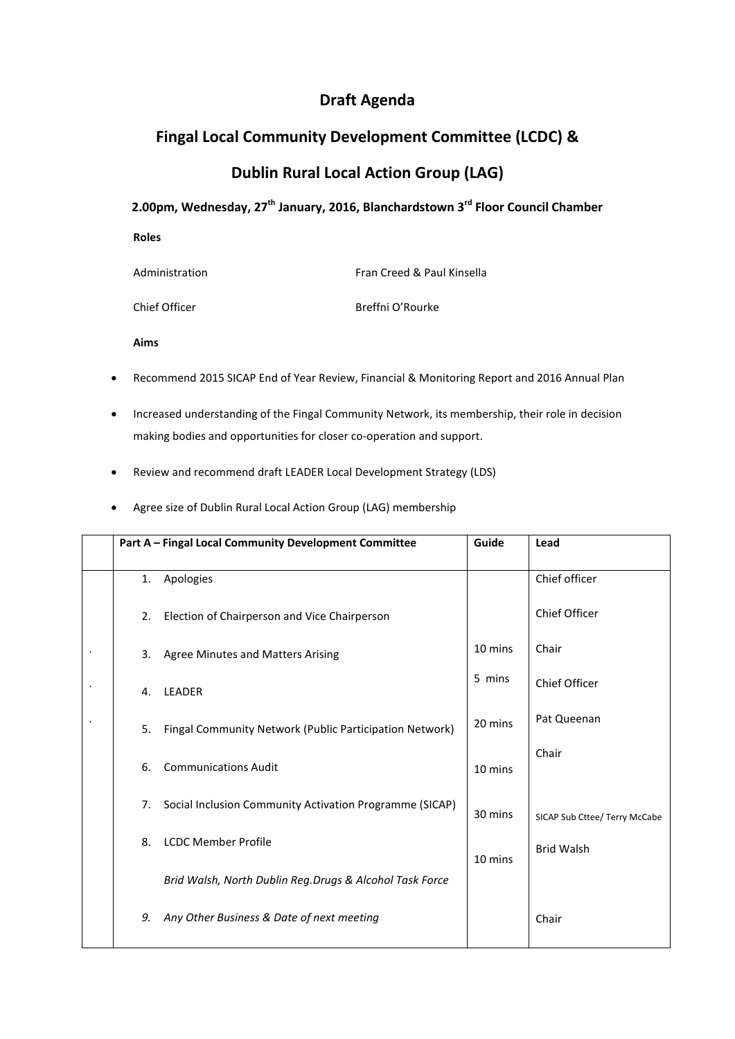## **Draft Agenda**

## **Fingal Local Community Development Committee (LCDC) &**

## **Dublin Rural Local Action Group (LAG)**

## **2.00pm, Wednesday, 27th January, 2016, Blanchardstown 3rd Floor Council Chamber**

| <b>Roles</b>   |                            |
|----------------|----------------------------|
| Administration | Fran Creed & Paul Kinsella |
| Chief Officer  | Breffni O'Rourke           |

**Aims**

- Recommend 2015 SICAP End of Year Review, Financial & Monitoring Report and 2016 Annual Plan
- Increased understanding of the Fingal Community Network, its membership, their role in decision making bodies and opportunities for closer co-operation and support.
- Review and recommend draft LEADER Local Development Strategy (LDS)
- Agree size of Dublin Rural Local Action Group (LAG) membership

|    | Part A - Fingal Local Community Development Committee   | Guide   | Lead                          |
|----|---------------------------------------------------------|---------|-------------------------------|
| 1. | Apologies                                               |         | Chief officer                 |
| 2. | Election of Chairperson and Vice Chairperson            |         | Chief Officer                 |
| 3. | <b>Agree Minutes and Matters Arising</b>                | 10 mins | Chair                         |
| 4. | <b>LEADER</b>                                           | 5 mins  | Chief Officer                 |
| 5. | Fingal Community Network (Public Participation Network) | 20 mins | Pat Queenan                   |
| 6. | <b>Communications Audit</b>                             | 10 mins | Chair                         |
| 7. | Social Inclusion Community Activation Programme (SICAP) | 30 mins | SICAP Sub Cttee/ Terry McCabe |
| 8. | <b>LCDC Member Profile</b>                              | 10 mins | <b>Brid Walsh</b>             |
|    | Brid Walsh, North Dublin Reg.Drugs & Alcohol Task Force |         |                               |
| 9. | Any Other Business & Date of next meeting               |         | Chair                         |